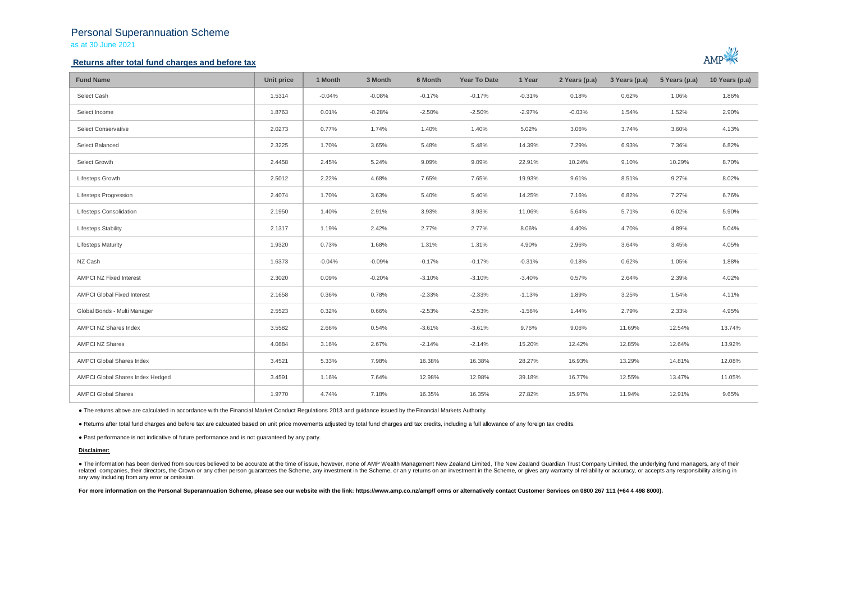## Personal Superannuation Scheme as at 30 June 2021

## **Returns after total fund charges and before tax**



| <b>Fund Name</b>                   | Unit price | 1 Month  | 3 Month  | 6 Month  | <b>Year To Date</b> | 1 Year   | 2 Years (p.a) | 3 Years (p.a) | 5 Years (p.a) | 10 Years (p.a) |
|------------------------------------|------------|----------|----------|----------|---------------------|----------|---------------|---------------|---------------|----------------|
| Select Cash                        | 1.5314     | $-0.04%$ | $-0.08%$ | $-0.17%$ | $-0.17%$            | $-0.31%$ | 0.18%         | 0.62%         | 1.06%         | 1.86%          |
| Select Income                      | 1.8763     | 0.01%    | $-0.28%$ | $-2.50%$ | $-2.50%$            | $-2.97%$ | $-0.03%$      | 1.54%         | 1.52%         | 2.90%          |
| <b>Select Conservative</b>         | 2.0273     | 0.77%    | 1.74%    | 1.40%    | 1.40%               | 5.02%    | 3.06%         | 3.74%         | 3.60%         | 4.13%          |
| Select Balanced                    | 2.3225     | 1.70%    | 3.65%    | 5.48%    | 5.48%               | 14.39%   | 7.29%         | 6.93%         | 7.36%         | 6.82%          |
| Select Growth                      | 2.4458     | 2.45%    | 5.24%    | 9.09%    | 9.09%               | 22.91%   | 10.24%        | 9.10%         | 10.29%        | 8.70%          |
| Lifesteps Growth                   | 2.5012     | 2.22%    | 4.68%    | 7.65%    | 7.65%               | 19.93%   | 9.61%         | 8.51%         | 9.27%         | 8.02%          |
| Lifesteps Progression              | 2.4074     | 1.70%    | 3.63%    | 5.40%    | 5.40%               | 14.25%   | 7.16%         | 6.82%         | 7.27%         | 6.76%          |
| Lifesteps Consolidation            | 2.1950     | 1.40%    | 2.91%    | 3.93%    | 3.93%               | 11.06%   | 5.64%         | 5.71%         | 6.02%         | 5.90%          |
| <b>Lifesteps Stability</b>         | 2.1317     | 1.19%    | 2.42%    | 2.77%    | 2.77%               | 8.06%    | 4.40%         | 4.70%         | 4.89%         | 5.04%          |
| <b>Lifesteps Maturity</b>          | 1.9320     | 0.73%    | 1.68%    | 1.31%    | 1.31%               | 4.90%    | 2.96%         | 3.64%         | 3.45%         | 4.05%          |
| NZ Cash                            | 1.6373     | $-0.04%$ | $-0.09%$ | $-0.17%$ | $-0.17%$            | $-0.31%$ | 0.18%         | 0.62%         | 1.05%         | 1.88%          |
| AMPCI NZ Fixed Interest            | 2.3020     | 0.09%    | $-0.20%$ | $-3.10%$ | $-3.10%$            | $-3.40%$ | 0.57%         | 2.64%         | 2.39%         | 4.02%          |
| <b>AMPCI Global Fixed Interest</b> | 2.1658     | 0.36%    | 0.78%    | $-2.33%$ | $-2.33%$            | $-1.13%$ | 1.89%         | 3.25%         | 1.54%         | 4.11%          |
| Global Bonds - Multi Manager       | 2.5523     | 0.32%    | 0.66%    | $-2.53%$ | $-2.53%$            | $-1.56%$ | 1.44%         | 2.79%         | 2.33%         | 4.95%          |
| AMPCI NZ Shares Index              | 3.5582     | 2.66%    | 0.54%    | $-3.61%$ | $-3.61%$            | 9.76%    | 9.06%         | 11.69%        | 12.54%        | 13.74%         |
| <b>AMPCI NZ Shares</b>             | 4.0884     | 3.16%    | 2.67%    | $-2.14%$ | $-2.14%$            | 15.20%   | 12.42%        | 12.85%        | 12.64%        | 13.92%         |
| AMPCI Global Shares Index          | 3.4521     | 5.33%    | 7.98%    | 16.38%   | 16.38%              | 28.27%   | 16.93%        | 13.29%        | 14.81%        | 12.08%         |
| AMPCI Global Shares Index Hedged   | 3.4591     | 1.16%    | 7.64%    | 12.98%   | 12.98%              | 39.18%   | 16.77%        | 12.55%        | 13.47%        | 11.05%         |
| <b>AMPCI Global Shares</b>         | 1.9770     | 4.74%    | 7.18%    | 16.35%   | 16.35%              | 27.82%   | 15.97%        | 11.94%        | 12.91%        | 9.65%          |

● The returns above are calculated in accordance with the Financial Market Conduct Regulations 2013 and guidance issued by the Financial Markets Authority.

● Returns after total fund charges and before tax are calcuated based on unit price movements adjusted by total fund charges and tax credits, including a full allowance of any foreign tax credits.

● Past performance is not indicative of future performance and is not guaranteed by any party.

### **Disclaimer:**

. The information has been derived from sources believed to be accurate at the time of issue, however, none of AMP Wealth Management New Zealand Limited, The New Zealand Guardian Trust Company Limited, the underlying fund related companies, their directors, the Crown or any other person quarantees the Scheme, any investment in the Scheme, or any returns on an investment in the Scheme, or qives any warranty of reliability or accuracy, or acc any way including from any error or omission.

For more information on the Personal Superannuation Scheme, please see our website with the link: https://www.amp.co.nz/amp/f orms or alternatively contact Customer Services on 0800 267 111 (+64 4 498 8000).